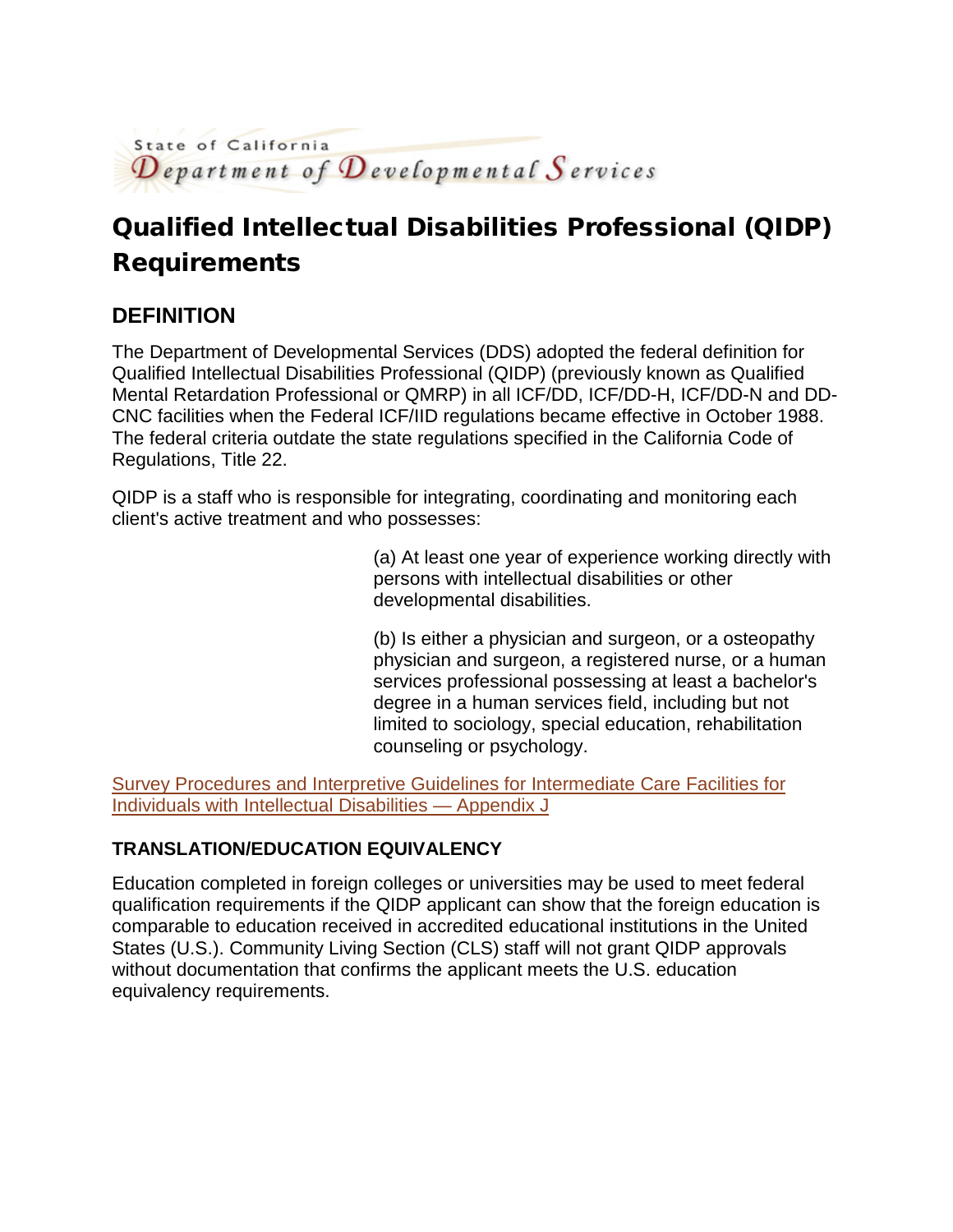

# Qualified Intellectual Disabilities Professional (QIDP) Requirements

### **DEFINITION**

The Department of Developmental Services (DDS) adopted the federal definition for Qualified Intellectual Disabilities Professional (QIDP) (previously known as Qualified Mental Retardation Professional or QMRP) in all ICF/DD, ICF/DD-H, ICF/DD-N and DD-CNC facilities when the Federal ICF/IID regulations became effective in October 1988. The federal criteria outdate the state regulations specified in the California Code of Regulations, Title 22.

QIDP is a staff who is responsible for integrating, coordinating and monitoring each client's active treatment and who possesses:

> (a) At least one year of experience working directly with persons with intellectual disabilities or other developmental disabilities.

(b) Is either a physician and surgeon, or a osteopathy physician and surgeon, a registered nurse, or a human services professional possessing at least a bachelor's degree in a human services field, including but not limited to sociology, special education, rehabilitation counseling or psychology.

[Survey Procedures and Interpretive Guidelines for Intermediate Care Facilities for](https://www.cms.gov/Regulations-and-Guidance/Guidance/Manuals/downloads/som107ap_j_intermcare.pdf)  [Individuals with Intellectual Disabilities —](https://www.cms.gov/Regulations-and-Guidance/Guidance/Manuals/downloads/som107ap_j_intermcare.pdf) Appendix J

#### **TRANSLATION/EDUCATION EQUIVALENCY**

Education completed in foreign colleges or universities may be used to meet federal qualification requirements if the QIDP applicant can show that the foreign education is comparable to education received in accredited educational institutions in the United States (U.S.). Community Living Section (CLS) staff will not grant QIDP approvals without documentation that confirms the applicant meets the U.S. education equivalency requirements.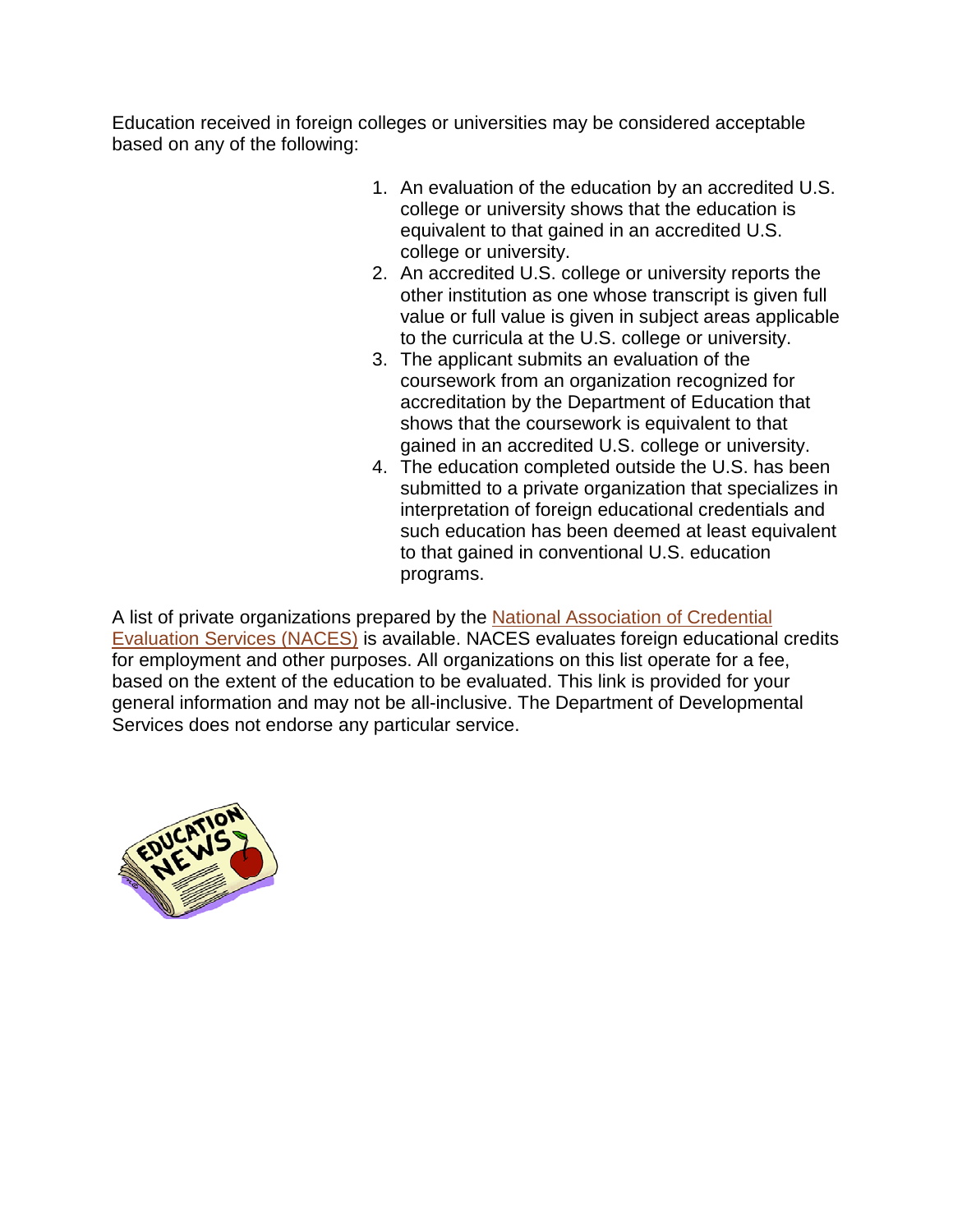Education received in foreign colleges or universities may be considered acceptable based on any of the following:

- 1. An evaluation of the education by an accredited U.S. college or university shows that the education is equivalent to that gained in an accredited U.S. college or university.
- 2. An accredited U.S. college or university reports the other institution as one whose transcript is given full value or full value is given in subject areas applicable to the curricula at the U.S. college or university.
- 3. The applicant submits an evaluation of the coursework from an organization recognized for accreditation by the Department of Education that shows that the coursework is equivalent to that gained in an accredited U.S. college or university.
- 4. The education completed outside the U.S. has been submitted to a private organization that specializes in interpretation of foreign educational credentials and such education has been deemed at least equivalent to that gained in conventional U.S. education programs.

A list of private organizations prepared by the [National Association of Credential](http://www.naces.org/members.htm)  [Evaluation Services \(NACES\)](http://www.naces.org/members.htm) is available. NACES evaluates foreign educational credits for employment and other purposes. All organizations on this list operate for a fee, based on the extent of the education to be evaluated. This link is provided for your general information and may not be all-inclusive. The Department of Developmental Services does not endorse any particular service.